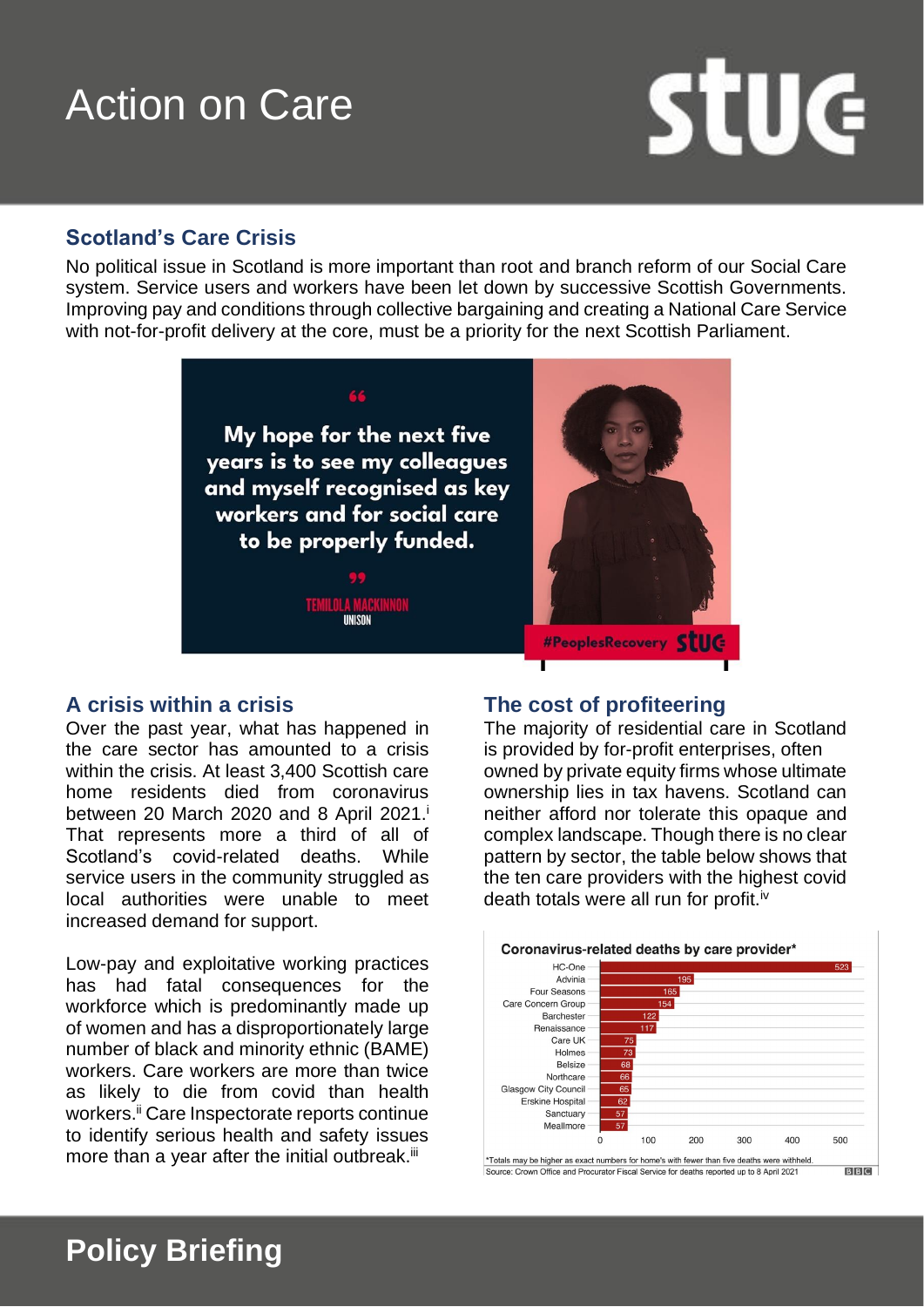# Action on Care

# **Stuc**

## **Scotland's Care Crisis**

No political issue in Scotland is more important than root and branch reform of our Social Care system. Service users and workers have been let down by successive Scottish Governments. Improving pay and conditions through collective bargaining and creating a National Care Service with not-for-profit delivery at the core, must be a priority for the next Scottish Parliament.



#### **A crisis within a crisis**

Over the past year, what has happened in the care sector has amounted to a crisis within the crisis. At least 3,400 Scottish care home residents died from coronavirus between 20 March 2020 and 8 April 2021. i That represents more a third of all of Scotland's covid-related deaths. While service users in the community struggled as local authorities were unable to meet increased demand for support.

Low-pay and exploitative working practices has had fatal consequences for the workforce which is predominantly made up of women and has a disproportionately large number of black and minority ethnic (BAME) workers. Care workers are more than twice as likely to die from covid than health workers.<sup>ii</sup> Care Inspectorate reports continue to identify serious health and safety issues more than a year after the initial outbreak.<sup>iii</sup>

**Policy Briefing** 

### **The cost of profiteering**

The majority of residential care in Scotland is provided by for-profit enterprises, often owned by private equity firms whose ultimate ownership lies in tax havens. Scotland can neither afford nor tolerate this opaque and complex landscape. Though there is no clear pattern by sector, the table below shows that the ten care providers with the highest covid death totals were all run for profit.<sup>iv</sup>